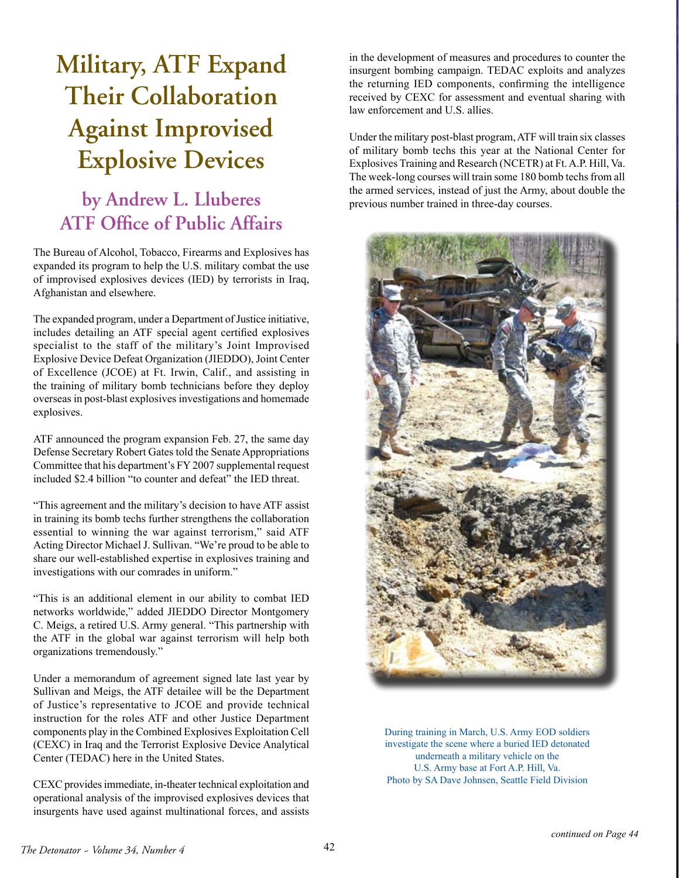## **Military, ATF Expand Their Collaboration Against Improvised Explosive Devices**

## **by Andrew L. Lluberes ATF Office of Public Affairs**

The Bureau of Alcohol, Tobacco, Firearms and Explosives has expanded its program to help the U.S. military combat the use of improvised explosives devices (IED) by terrorists in Iraq, Afghanistan and elsewhere.

The expanded program, under a Department of Justice initiative, includes detailing an ATF special agent certified explosives specialist to the staff of the military's Joint Improvised Explosive Device Defeat Organization (JIEDDO), Joint Center of Excellence (JCOE) at Ft. Irwin, Calif., and assisting in the training of military bomb technicians before they deploy overseas in post-blast explosives investigations and homemade explosives.

ATF announced the program expansion Feb. 27, the same day Defense Secretary Robert Gates told the Senate Appropriations Committee that his department's FY 2007 supplemental request included \$2.4 billion "to counter and defeat" the IED threat.

"This agreement and the military's decision to have ATF assist in training its bomb techs further strengthens the collaboration essential to winning the war against terrorism," said ATF Acting Director Michael J. Sullivan. "We're proud to be able to share our well-established expertise in explosives training and investigations with our comrades in uniform."

"This is an additional element in our ability to combat IED networks worldwide," added JIEDDO Director Montgomery C. Meigs, a retired U.S. Army general. "This partnership with the ATF in the global war against terrorism will help both organizations tremendously."

Under a memorandum of agreement signed late last year by Sullivan and Meigs, the ATF detailee will be the Department of Justice's representative to JCOE and provide technical instruction for the roles ATF and other Justice Department components play in the Combined Explosives Exploitation Cell (CEXC) in Iraq and the Terrorist Explosive Device Analytical Center (TEDAC) here in the United States.

CEXC provides immediate, in-theater technical exploitation and operational analysis of the improvised explosives devices that insurgents have used against multinational forces, and assists

in the development of measures and procedures to counter the insurgent bombing campaign. TEDAC exploits and analyzes the returning IED components, confirming the intelligence received by CEXC for assessment and eventual sharing with law enforcement and U.S. allies.

Under the military post-blast program, ATF will train six classes of military bomb techs this year at the National Center for Explosives Training and Research (NCETR) at Ft. A.P. Hill, Va. The week-long courses will train some 180 bomb techs from all the armed services, instead of just the Army, about double the previous number trained in three-day courses.



During training in March, U.S. Army EOD soldiers investigate the scene where a buried IED detonated underneath a military vehicle on the U.S. Army base at Fort A.P. Hill, Va. Photo by SA Dave Johnsen, Seattle Field Division